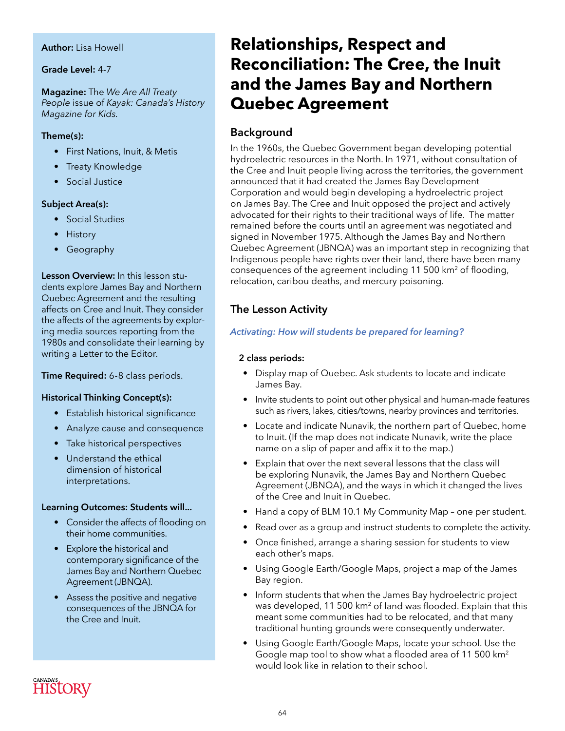#### **Author:** Lisa Howell

#### **Grade Level:** 4-7

#### **Magazine:** The *We Are All Treaty People* issue of *Kayak: Canada's History Magazine for Kids.*

#### **Theme(s):**

- First Nations, Inuit, & Metis
- Treaty Knowledge
- Social Justice

#### **Subject Area(s):**

- Social Studies
- History
- Geography

**Lesson Overview:** In this lesson students explore James Bay and Northern Quebec Agreement and the resulting affects on Cree and Inuit. They consider the affects of the agreements by exploring media sources reporting from the 1980s and consolidate their learning by writing a Letter to the Editor.

#### **Time Required:** 6-8 class periods.

#### **Historical Thinking Concept(s):**

- Establish historical significance
- Analyze cause and consequence
- Take historical perspectives
- Understand the ethical dimension of historical interpretations.

#### **Learning Outcomes: Students will...**

- Consider the affects of flooding on their home communities.
- Explore the historical and contemporary significance of the James Bay and Northern Quebec Agreement (JBNQA).
- Assess the positive and negative consequences of the JBNQA for the Cree and Inuit.

# **Relationships, Respect and Reconciliation: The Cree, the Inuit and the James Bay and Northern Quebec Agreement**

## **Background**

In the 1960s, the Quebec Government began developing potential hydroelectric resources in the North. In 1971, without consultation of the Cree and Inuit people living across the territories, the government announced that it had created the James Bay Development Corporation and would begin developing a hydroelectric project on James Bay. The Cree and Inuit opposed the project and actively advocated for their rights to their traditional ways of life. The matter remained before the courts until an agreement was negotiated and signed in November 1975. Although the James Bay and Northern Quebec Agreement (JBNQA) was an important step in recognizing that Indigenous people have rights over their land, there have been many consequences of the agreement including 11 500 km2 of flooding, relocation, caribou deaths, and mercury poisoning.

## **The Lesson Activity**

#### *Activating: How will students be prepared for learning?*

#### **2 class periods:**

- Display map of Quebec. Ask students to locate and indicate James Bay.
- Invite students to point out other physical and human-made features such as rivers, lakes, cities/towns, nearby provinces and territories.
- Locate and indicate Nunavik, the northern part of Quebec, home to Inuit. (If the map does not indicate Nunavik, write the place name on a slip of paper and affix it to the map.)
- Explain that over the next several lessons that the class will be exploring Nunavik, the James Bay and Northern Quebec Agreement (JBNQA), and the ways in which it changed the lives of the Cree and Inuit in Quebec.
- Hand a copy of BLM 10.1 My Community Map one per student.
- Read over as a group and instruct students to complete the activity.
- Once finished, arrange a sharing session for students to view each other's maps.
- Using Google Earth/Google Maps, project a map of the James Bay region.
- Inform students that when the James Bay hydroelectric project was developed, 11 500 km2 of land was flooded. Explain that this meant some communities had to be relocated, and that many traditional hunting grounds were consequently underwater.
- Using Google Earth/Google Maps, locate your school. Use the Google map tool to show what a flooded area of 11 500 km<sup>2</sup> would look like in relation to their school.

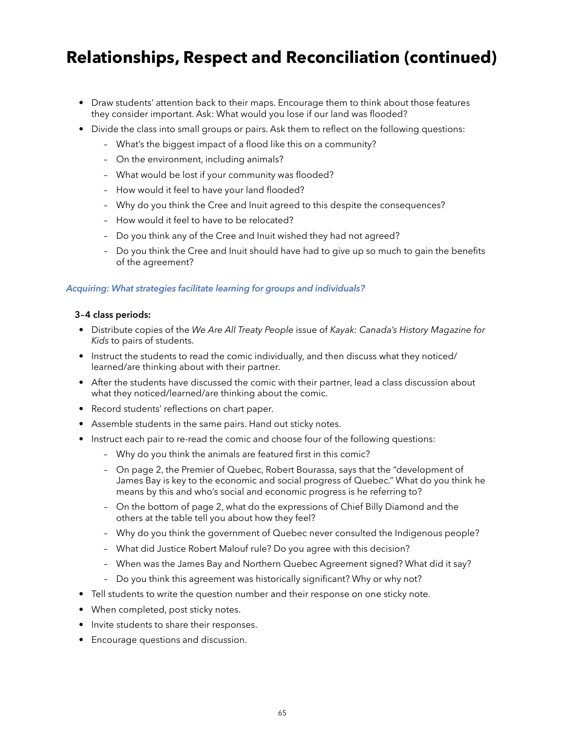# **Relationships, Respect and Reconciliation (continued)**

- Draw students' attention back to their maps. Encourage them to think about those features they consider important. Ask: What would you lose if our land was flooded?
- Divide the class into small groups or pairs. Ask them to reflect on the following questions:
	- What's the biggest impact of a flood like this on a community?
	- On the environment, including animals?
	- What would be lost if your community was flooded?
	- How would it feel to have your land flooded?
	- Why do you think the Cree and Inuit agreed to this despite the consequences?
	- How would it feel to have to be relocated?
	- Do you think any of the Cree and Inuit wished they had not agreed?
	- Do you think the Cree and Inuit should have had to give up so much to gain the benefits of the agreement?

#### *Acquiring: What strategies facilitate learning for groups and individuals?*

#### **3–4 class periods:**

- Distribute copies of the *We Are All Treaty People* issue of *Kayak: Canada's History Magazine for Kids* to pairs of students.
- Instruct the students to read the comic individually, and then discuss what they noticed/ learned/are thinking about with their partner.
- After the students have discussed the comic with their partner, lead a class discussion about what they noticed/learned/are thinking about the comic.
- Record students' reflections on chart paper.
- Assemble students in the same pairs. Hand out sticky notes.
- Instruct each pair to re-read the comic and choose four of the following questions:
	- Why do you think the animals are featured first in this comic?
	- On page 2, the Premier of Quebec, Robert Bourassa, says that the "development of James Bay is key to the economic and social progress of Quebec." What do you think he means by this and who's social and economic progress is he referring to?
	- On the bottom of page 2, what do the expressions of Chief Billy Diamond and the others at the table tell you about how they feel?
	- Why do you think the government of Quebec never consulted the Indigenous people?
	- What did Justice Robert Malouf rule? Do you agree with this decision?
	- When was the James Bay and Northern Quebec Agreement signed? What did it say?
	- Do you think this agreement was historically significant? Why or why not?
- Tell students to write the question number and their response on one sticky note.
- When completed, post sticky notes.
- Invite students to share their responses.
- Encourage questions and discussion.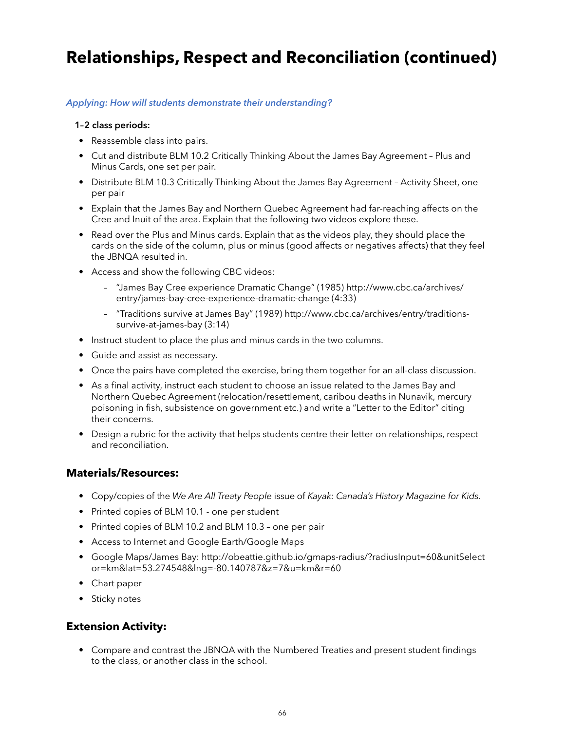# **Relationships, Respect and Reconciliation (continued)**

#### *Applying: How will students demonstrate their understanding?*

#### **1–2 class periods:**

- Reassemble class into pairs.
- Cut and distribute BLM 10.2 Critically Thinking About the James Bay Agreement Plus and Minus Cards, one set per pair.
- Distribute BLM 10.3 Critically Thinking About the James Bay Agreement Activity Sheet, one per pair
- Explain that the James Bay and Northern Quebec Agreement had far-reaching affects on the Cree and Inuit of the area. Explain that the following two videos explore these.
- Read over the Plus and Minus cards. Explain that as the videos play, they should place the cards on the side of the column, plus or minus (good affects or negatives affects) that they feel the JBNQA resulted in.
- Access and show the following CBC videos:
	- "James Bay Cree experience Dramatic Change" (1985) http://www.cbc.ca/archives/ entry/james-bay-cree-experience-dramatic-change (4:33)
	- "Traditions survive at James Bay" (1989) http://www.cbc.ca/archives/entry/traditionssurvive-at-james-bay (3:14)
- Instruct student to place the plus and minus cards in the two columns.
- Guide and assist as necessary.
- Once the pairs have completed the exercise, bring them together for an all-class discussion.
- As a final activity, instruct each student to choose an issue related to the James Bay and Northern Quebec Agreement (relocation/resettlement, caribou deaths in Nunavik, mercury poisoning in fish, subsistence on government etc.) and write a "Letter to the Editor" citing their concerns.
- Design a rubric for the activity that helps students centre their letter on relationships, respect and reconciliation.

### **Materials/Resources:**

- Copy/copies of the *We Are All Treaty People* issue of *Kayak: Canada's History Magazine for Kids.*
- Printed copies of BLM 10.1 one per student
- Printed copies of BLM 10.2 and BLM 10.3 one per pair
- Access to Internet and Google Earth/Google Maps
- Google Maps/James Bay: http://obeattie.github.io/gmaps-radius/?radiusInput=60&unitSelect or=km&lat=53.274548&lng=-80.140787&z=7&u=km&r=60
- Chart paper
- Sticky notes

### **Extension Activity:**

• Compare and contrast the JBNQA with the Numbered Treaties and present student findings to the class, or another class in the school.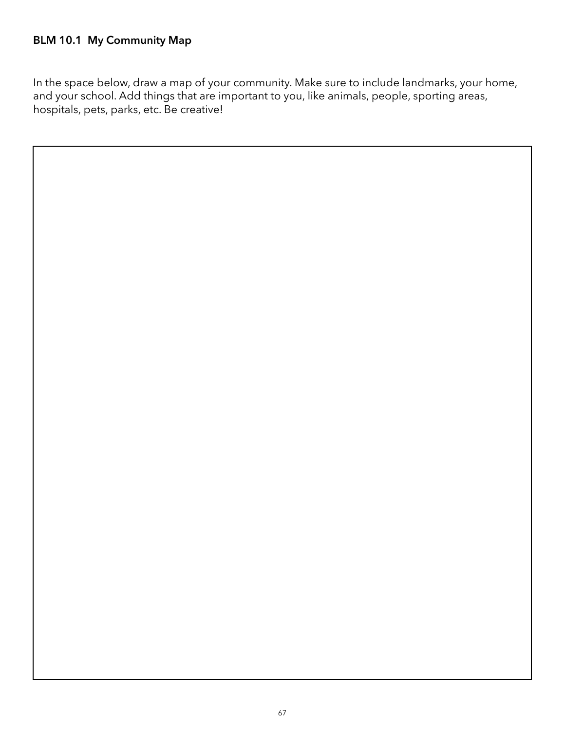In the space below, draw a map of your community. Make sure to include landmarks, your home, and your school. Add things that are important to you, like animals, people, sporting areas, hospitals, pets, parks, etc. Be creative!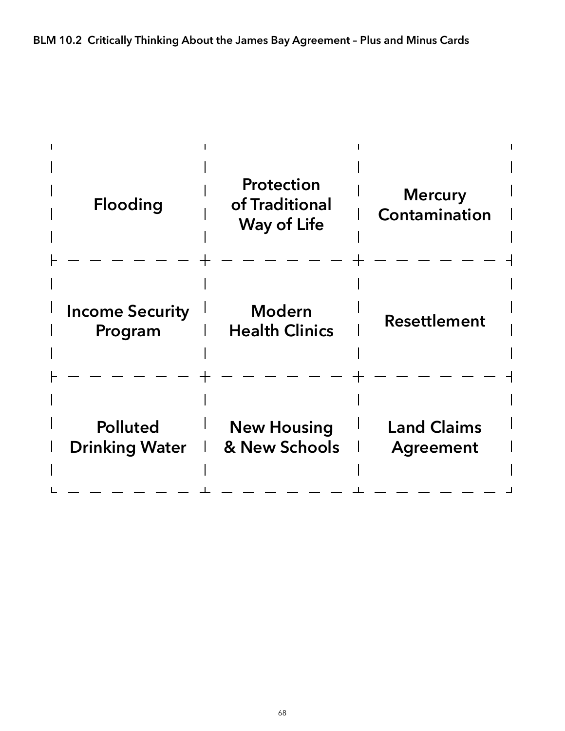| <b>Flooding</b>                          | <b>Protection</b><br>of Traditional<br><b>Way of Life</b> | <b>Mercury</b><br>Contamination |
|------------------------------------------|-----------------------------------------------------------|---------------------------------|
| <b>Income Security</b><br>Program        | <b>Modern</b><br><b>Health Clinics</b>                    | Resettlement                    |
| <b>Polluted</b><br><b>Drinking Water</b> | <b>New Housing</b><br>& New Schools                       | <b>Land Claims</b><br>Agreement |